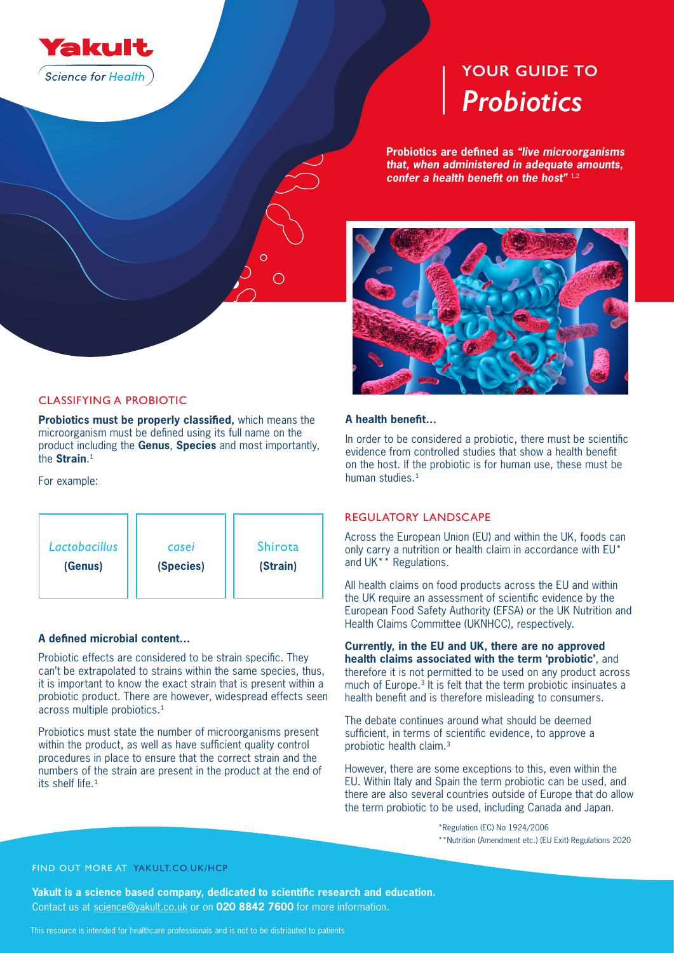

# *Probiotics* **YOUR GUIDE TO**

**Probiotics are defined as** *"live microorganisms that, when administered in adequate amounts, confer a health benefit on the host"* 1,2



## CLASSIFYING A PROBIOTIC

**Probiotics must be properly classified,** which means the microorganism must be defined using its full name on the product including the **Genus**, **Species** and most importantly, the **Strain**. 1

For example:



## **A defined microbial content…**

Probiotic effects are considered to be strain specific. They can't be extrapolated to strains within the same species, thus, it is important to know the exact strain that is present within a probiotic product. There are however, widespread effects seen across multiple probiotics.<sup>1</sup>

Probiotics must state the number of microorganisms present within the product, as well as have sufficient quality control procedures in place to ensure that the correct strain and the numbers of the strain are present in the product at the end of its shelf life.<sup>1</sup>

## **A health benefit…**

In order to be considered a probiotic, there must be scientific evidence from controlled studies that show a health benefit on the host. If the probiotic is for human use, these must be human studies.<sup>1</sup>

# REGULATORY LANDSCAPE

Across the European Union (EU) and within the UK, foods can only carry a nutrition or health claim in accordance with EU\* and UK\*\* Regulations.

All health claims on food products across the EU and within the UK require an assessment of scientific evidence by the European Food Safety Authority (EFSA) or the UK Nutrition and Health Claims Committee (UKNHCC), respectively.

**Currently, in the EU and UK, there are no approved health claims associated with the term 'probiotic'**, and therefore it is not permitted to be used on any product across much of Europe.3 It is felt that the term probiotic insinuates a health benefit and is therefore misleading to consumers.

The debate continues around what should be deemed sufficient, in terms of scientific evidence, to approve a probiotic health claim.3

However, there are some exceptions to this, even within the EU. Within Italy and Spain the term probiotic can be used, and there are also several countries outside of Europe that do allow the term probiotic to be used, including Canada and Japan.

> \*Regulation (EC) No 1924/2006 \*\*Nutrition (Amendment etc.) (EU Exit) Regulations 2020

## FIND OUT MORE AT YAKULT.CO.UK/HCP

**Yakult is a science based company, dedicated to scientific research and education.** Contact us at science@yakult.co.uk or on **020 8842 7600** for more information.

This resource is intended for healthcare professionals and is not to be distributed to patients